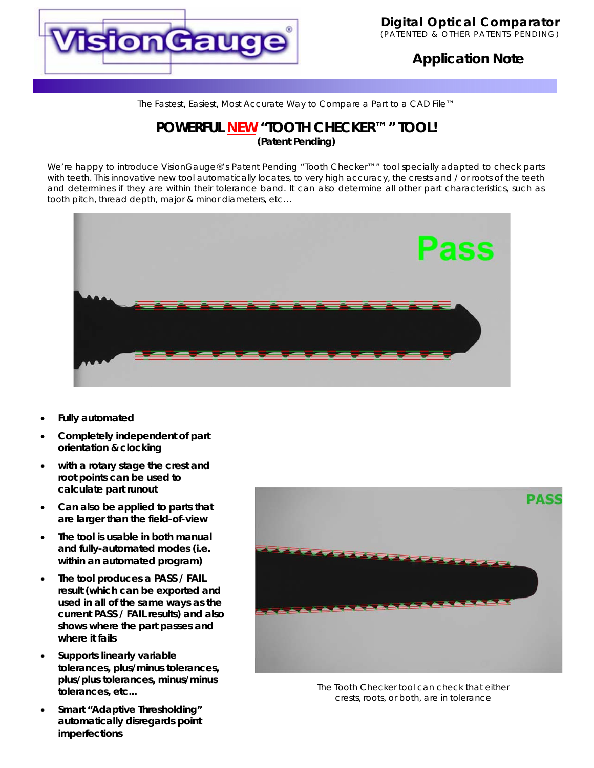

# **Application Note**

*The Fastest, Easiest, Most Accurate Way to Compare a Part to a CAD File™*

## **POWERFUL NEW "TOOTH CHECKER™" TOOL! (Patent Pending)**

We're happy to introduce VisionGauge®'s Patent Pending "Tooth Checker™" tool specially adapted to check parts with teeth. This innovative new tool automatically locates, to very high accuracy, the crests and / or roots of the teeth and determines if they are within their tolerance band. It can also determine all other part characteristics, such as tooth pitch, thread depth, major & minor diameters, etc…



- **Fully automated**
- **Completely independent of part orientation & clocking**
- **with a rotary stage the crest and root points can be used to calculate part runout**
- **Can also be applied to parts that are larger than the field-of-view**
- **The tool is usable in both manual and fully-automated modes (i.e. within an automated program)**
- **The tool produces a PASS / FAIL result (which can be exported and used in all of the same ways as the current PASS / FAIL results) and also shows where the part passes and where it fails**
- **Supports linearly variable tolerances, plus/minus tolerances, plus/plus tolerances, minus/minus tolerances, etc...**
- **Smart "Adaptive Thresholding" automatically disregards point imperfections**



The Tooth Checker tool can check that either crests, roots, or both, are in tolerance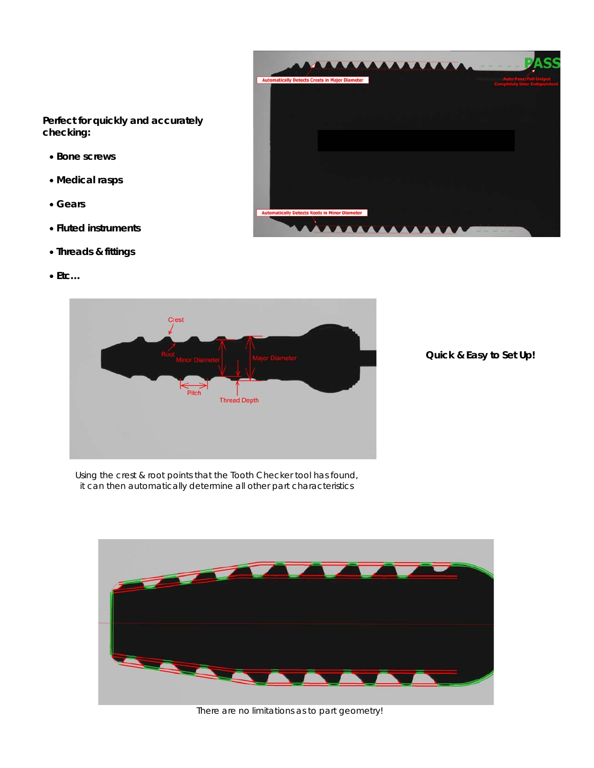**Perfect for quickly and accurately checking:** 

- **Bone screws**
- **Medical rasps**
- **Gears**
- **Fluted instruments**
- **Threads & fittings**
- **Etc…**





**Quick & Easy to Set Up!** 

Using the crest & root points that the Tooth Checker tool has found, it can then automatically determine all other part characteristics



There are no limitations as to part geometry!